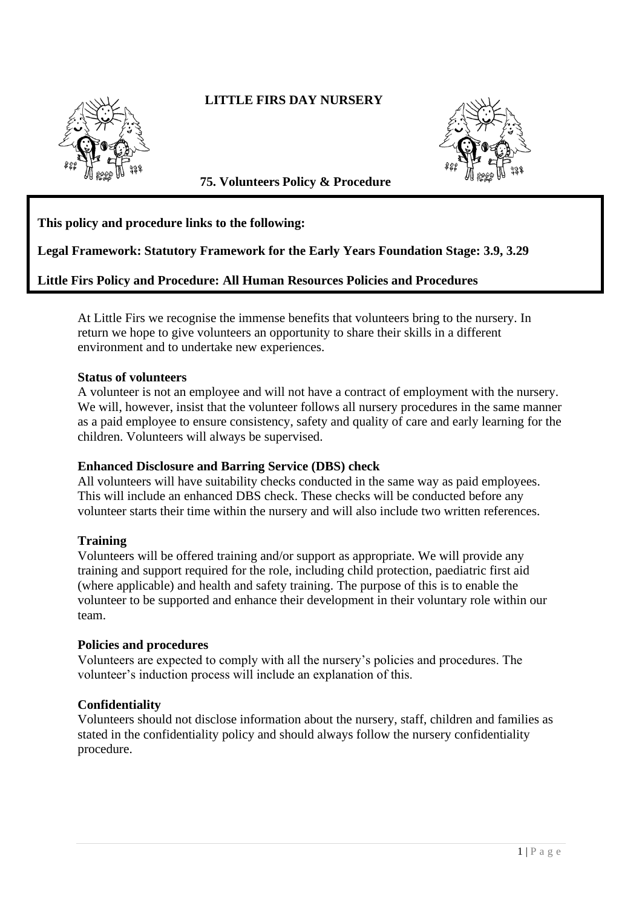# **LITTLE FIRS DAY NURSERY**



**75. Volunteers Policy & Procedure** 

## **This policy and procedure links to the following:**

## **Legal Framework: Statutory Framework for the Early Years Foundation Stage: 3.9, 3.29**

## **Little Firs Policy and Procedure: All Human Resources Policies and Procedures**

At Little Firs we recognise the immense benefits that volunteers bring to the nursery. In return we hope to give volunteers an opportunity to share their skills in a different environment and to undertake new experiences.

#### **Status of volunteers**

A volunteer is not an employee and will not have a contract of employment with the nursery. We will, however, insist that the volunteer follows all nursery procedures in the same manner as a paid employee to ensure consistency, safety and quality of care and early learning for the children. Volunteers will always be supervised.

#### **Enhanced Disclosure and Barring Service (DBS) check**

All volunteers will have suitability checks conducted in the same way as paid employees. This will include an enhanced DBS check. These checks will be conducted before any volunteer starts their time within the nursery and will also include two written references.

#### **Training**

Volunteers will be offered training and/or support as appropriate. We will provide any training and support required for the role, including child protection, paediatric first aid (where applicable) and health and safety training. The purpose of this is to enable the volunteer to be supported and enhance their development in their voluntary role within our team.

#### **Policies and procedures**

Volunteers are expected to comply with all the nursery's policies and procedures. The volunteer's induction process will include an explanation of this.

#### **Confidentiality**

Volunteers should not disclose information about the nursery, staff, children and families as stated in the confidentiality policy and should always follow the nursery confidentiality procedure.